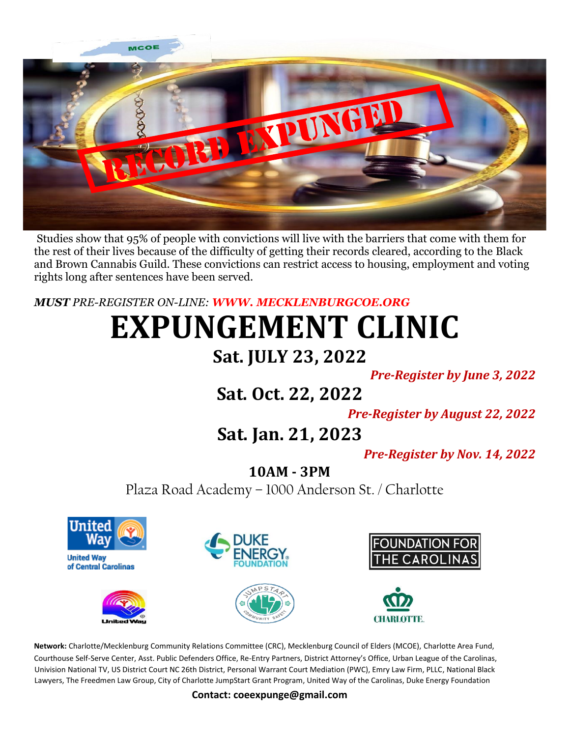

Studies show that 95% of people with convictions will live with the barriers that come with them for the rest of their lives because of the difficulty of getting their records cleared, according to the Black and Brown Cannabis Guild. These convictions can restrict access to housing, employment and voting rights long after sentences have been served.

#### *MUST PRE-REGISTER ON-LINE: WWW. MECKLENBURGCOE.ORG*

# **EXPUNGEMENT CLINIC**

## **Sat. JULY 23, 2022**

*Pre-Register by June 3, 2022*

# **Sat. Oct. 22, 2022**

*Pre-Register by August 22, 2022*

# **Sat. Jan. 21, 2023**

*Pre-Register by Nov. 14, 2022*

#### **10AM - 3PM**

Plaza Road Academy – 1000 Anderson St. / Charlotte



**Network:** Charlotte/Mecklenburg Community Relations Committee (CRC), Mecklenburg Council of Elders (MCOE), Charlotte Area Fund, Courthouse Self-Serve Center, Asst. Public Defenders Office, Re-Entry Partners, District Attorney's Office, Urban League of the Carolinas, Univision National TV, US District Court NC 26th District, Personal Warrant Court Mediation (PWC), Emry Law Firm, PLLC, National Black Lawyers, The Freedmen Law Group, City of Charlotte JumpStart Grant Program, United Way of the Carolinas, Duke Energy Foundation

**Contact: coeexpunge@gmail.com**